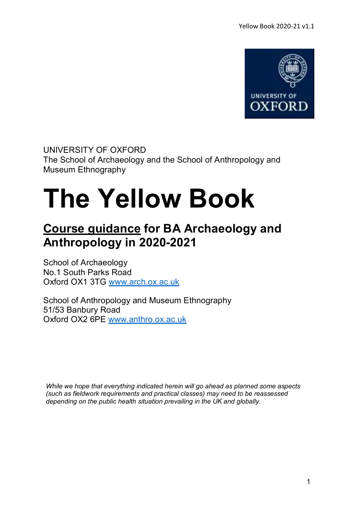

UNIVERSITY OF OXFORD The School of Archaeology and the School of Anthropology and Museum Ethnography

# **The Yellow Book**

# **Course guidance for BA Archaeology and Anthropology in 2020-2021**

School of Archaeology No.1 South Parks Road Oxford OX1 3TG [www.arch.ox.ac.uk](http://www.arch.ox.ac.uk/)

School of Anthropology and Museum Ethnography 51/53 Banbury Road Oxford OX2 6PE [www.anthro.ox.ac.uk](http://www.anthro.ox.ac.uk/)

*While we hope that everything indicated herein will go ahead as planned some aspects (such as fieldwork requirements and practical classes) may need to be reassessed depending on the public health situation prevailing in the UK and globally.*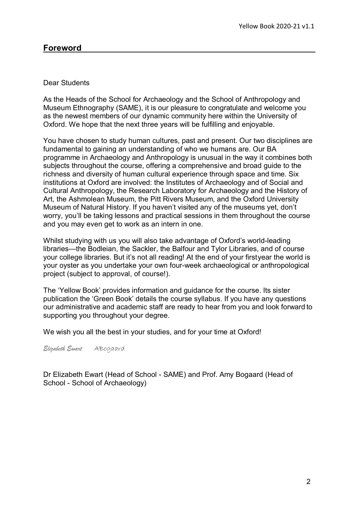### **Foreword**

#### Dear Students

As the Heads of the School for Archaeology and the School of Anthropology and Museum Ethnography (SAME), it is our pleasure to congratulate and welcome you as the newest members of our dynamic community here within the University of Oxford. We hope that the next three years will be fulfilling and enjoyable.

You have chosen to study human cultures, past and present. Our two disciplines are fundamental to gaining an understanding of who we humans are. Our BA programme in Archaeology and Anthropology is unusual in the way it combines both subjects throughout the course, offering a comprehensive and broad guide to the richness and diversity of human cultural experience through space and time. Six institutions at Oxford are involved: the Institutes of Archaeology and of Social and Cultural Anthropology, the Research Laboratory for Archaeology and the History of Art, the Ashmolean Museum, the Pitt Rivers Museum, and the Oxford University Museum of Natural History. If you haven't visited any of the museums yet, don't worry, you'll be taking lessons and practical sessions in them throughout the course and you may even get to work as an intern in one.

Whilst studying with us you will also take advantage of Oxford's world-leading libraries—the Bodleian, the Sackler, the Balfour and Tylor Libraries, and of course your college libraries. But it's not all reading! At the end of your firstyear the world is your oyster as you undertake your own four-week archaeological or anthropological project (subject to approval, of course!).

The 'Yellow Book' provides information and guidance for the course. Its sister publication the 'Green Book' details the course syllabus. If you have any questions our administrative and academic staff are ready to hear from you and look forward to supporting you throughout your degree.

We wish you all the best in your studies, and for your time at Oxford!

*Elizabeth Ewart* ABogaard

Dr Elizabeth Ewart (Head of School - SAME) and Prof. Amy Bogaard (Head of School - School of Archaeology)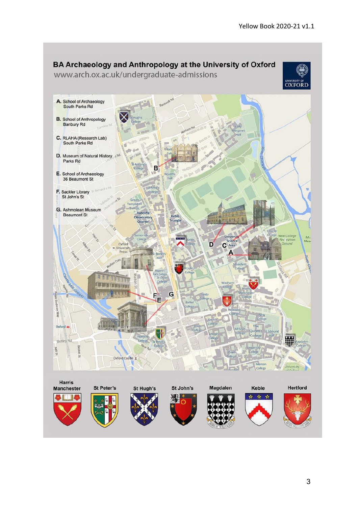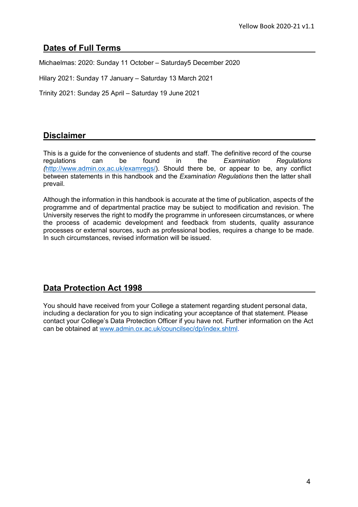### <span id="page-3-0"></span>**Dates of Full Terms**

Michaelmas: 2020: Sunday 11 October – Saturday5 December 2020

Hilary 2021: Sunday 17 January – Saturday 13 March 2021

Trinity 2021: Sunday 25 April – Saturday 19 June 2021

### **Disclaimer**

This is a guide for the convenience of students and staff. The definitive record of the course regulations can be found in the *Examination Regulations (*[http://www.admin.ox.ac.uk/examregs/\)](http://www.admin.ox.ac.uk/examregs/). Should there be, or appear to be, any conflict between statements in this handbook and the *Examination Regulations* then the latter shall prevail.

Although the information in this handbook is accurate at the time of publication, aspects of the programme and of departmental practice may be subject to modification and revision. The University reserves the right to modify the programme in unforeseen circumstances, or where the process of academic development and feedback from students, quality assurance processes or external sources, such as professional bodies, requires a change to be made. In such circumstances, revised information will be issued.

### **Data Protection Act 1998**

You should have received from your College a statement regarding student personal data, including a declaration for you to sign indicating your acceptance of that statement. Please contact your College's Data Protection Officer if you have not. Further information on the Act can be obtained at [www.admin.ox.ac.uk/councilsec/dp/index.shtml.](http://www.admin.ox.ac.uk/councilsec/dp/index.shtml)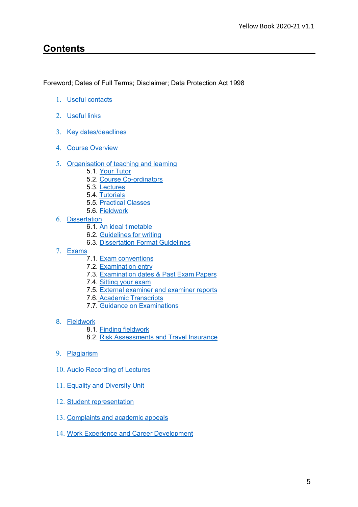# **Contents**

Foreword; Dates of Full Terms; Disclaimer; Data Protection Act 1998

- 1. [Useful contacts](#page-5-0)
- 2. [Useful](#page-5-1) links
- 3. Key [dates/deadlines](#page-6-0)
- 4. Course [Overview](#page-7-0)
- 5. [Organisation of teaching and](#page-8-0) learning
	- 5.1. Your [Tutor](#page-9-0)
	- 5.2. Course [Co-ordinators](#page-10-0)
	- 5.3. [Lectures](#page-11-0)
	- 5.4. [Tutorials](#page-10-1)
	- 5.5. [Practical](#page-11-1) Classes
	- 5.6. [Fieldwork](#page-12-0)
- 6. [Dissertation](#page-14-0)
	- 6.1. An ideal [timetable](#page-14-1)
	- 6.2. [Guidelines for](#page-15-0) writing
	- 6.3. [Dissertation Format](#page-17-0) Guidelines
- 7. [Exams](#page-19-0)
	- 7.1. Exam [conventions](#page-20-0)
	- 7.2. [Examination](#page-20-1) entry
	- 7.3. [Examination dates & Past Exam](#page-20-2) Papers
	- 7.4. [Sitting your exam](#page-20-3)
	- 7.5. [External examiner and examiner](#page-20-4) reports
	- 7.6. Academic [Transcripts](#page-19-0)
	- 7.7. Guidance on [Examinations](#page-21-0)
- 8. [Fieldwork](#page-24-0)
	- 8.1. Finding [fieldwork](#page-24-1)
	- 8.2. [Risk Assessments and Travel](#page-24-2) Insurance
- 9. [Plagiarism](#page-26-0)
- 10. [Audio Recording of](#page-27-0) Lectures
- 11. [Equality and Diversity](#page-28-0) Unit
- 12. Student [representation](#page-29-0)
- 13. [Complaints and academic](#page-30-0) appeals
- 14. [Work Experience and Career](#page-31-0) Development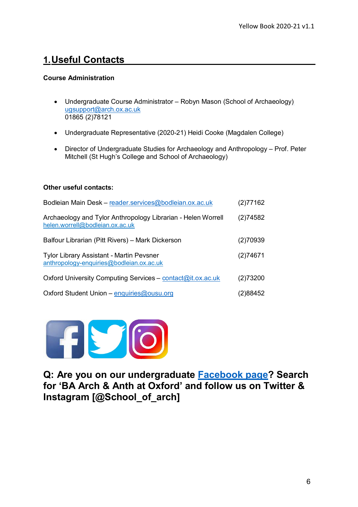# <span id="page-5-0"></span>**1.Useful Contacts**

#### **Course Administration**

- Undergraduate Course Administrator Robyn Mason (School of Archaeology) [ugsupport@arch.ox.ac.uk](mailto:ugsupport@arch.ox.ac.uk) 01865 (2)78121
- Undergraduate Representative (2020-21) Heidi Cooke (Magdalen College)
- Director of Undergraduate Studies for Archaeology and Anthropology Prof. Peter Mitchell (St Hugh's College and School of Archaeology)

#### **Other useful contacts:**

| Bodleian Main Desk - reader.services@bodleian.ox.ac.uk                                          | (2)77162 |
|-------------------------------------------------------------------------------------------------|----------|
| Archaeology and Tylor Anthropology Librarian - Helen Worrell<br>helen.worrell@bodleian.ox.ac.uk | (2)74582 |
| Balfour Librarian (Pitt Rivers) - Mark Dickerson                                                |          |
| <b>Tylor Library Assistant - Martin Pevsner</b><br>anthropology-enquiries@bodleian.ox.ac.uk     | (2)74671 |
| Oxford University Computing Services - contact@it.ox.ac.uk                                      |          |
| Oxford Student Union - enquiries@ousu.org                                                       | (2)88452 |



<span id="page-5-1"></span>**Q: Are you on our undergraduate [Facebook page?](https://www.facebook.com/groups/926669227477402/) Search for 'BA Arch & Anth at Oxford' and follow us on Twitter & Instagram [@School\_of\_arch]**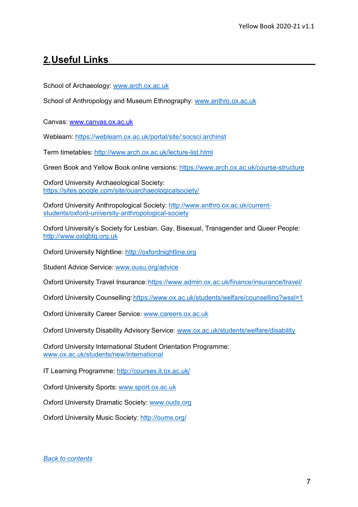# <span id="page-6-0"></span>**2.Useful Links**

School of Archaeology: [www.arch.ox.ac.uk](http://www.arch.ox.ac.uk/)

School of Anthropology and Museum Ethnography: [www.anthro.ox.ac.uk](http://www.anthro.ox.ac.uk/)

Canvas: [www.canvas.ox.ac.uk](http://www.canvas.ox.ac.uk/)

Weblearn: https://weblearn.ox.ac.uk/portal/site/:socsci:archinst

Term timetables:<http://www.arch.ox.ac.uk/lecture-list.html>

Green Book and Yellow Book online versions:<https://www.arch.ox.ac.uk/course-structure>

Oxford University Archaeological Society: <https://sites.google.com/site/ouarchaeologicalsociety/>

Oxford University Anthropological Society: [http://www.anthro.ox.ac.uk/current](http://www.anthro.ox.ac.uk/current-students/oxford-university-anthropological-society)[students/oxford-university-anthropological-society](http://www.anthro.ox.ac.uk/current-students/oxford-university-anthropological-society)

Oxford University's Society for Lesbian. Gay, Bisexual, Transgender and Queer People: [http://www.oxlgbtq.org.uk](http://www.oxlgbtq.org.uk/)

Oxford University Nightline: [http://oxfordnightline.org](http://oxfordnightline.org/)

Student Advice Service: [www.ousu.org/advice](http://www.ousu.org/advice)

Oxford University Travel Insurance[:https://www.admin.ox.ac.uk/finance/insurance/travel/](https://www.admin.ox.ac.uk/finance/insurance/travel/)

Oxford University Counselling: https://www.ox.ac.uk/students/welfare/counselling?wssl=1

Oxford University Career Service: [www.careers.ox.ac.uk](http://www.careers.ox.ac.uk/)

Oxford University Disability Advisory Service: [www.ox.ac.uk/students/welfare/disability](http://www.ox.ac.uk/students/welfare/disability)

Oxford University International Student Orientation Programme: [www.ox.ac.uk/students/new/international](http://www.ox.ac.uk/students/new/international)

IT Learning Programme:<http://courses.it.ox.ac.uk/>

Oxford University Sports: [www.sport.ox.ac.uk](http://www.sport.ox.ac.uk/)

Oxford University Dramatic Society: [www.ouds.org](http://www.ouds.org/)

Oxford University Music Society:<http://oums.org/>

*[Back to contents](#page-3-0)*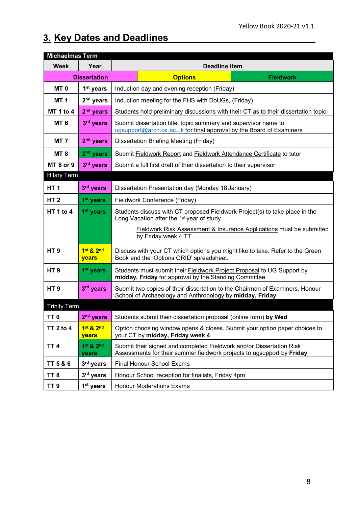$\overline{\phantom{a}}$ 

# **3. Key Dates and Deadlines**

<span id="page-7-0"></span>

| <b>Michaelmas Term</b> |                       |                                                                                                                                                |  |
|------------------------|-----------------------|------------------------------------------------------------------------------------------------------------------------------------------------|--|
| <b>Week</b>            | Year                  | <b>Deadline item</b>                                                                                                                           |  |
| <b>Dissertation</b>    |                       | <b>Options</b><br><b>Fieldwork</b>                                                                                                             |  |
| MT <sub>0</sub>        | 1 <sup>st</sup> years | Induction day and evening reception (Friday)                                                                                                   |  |
| <b>MT 1</b>            | $2nd$ years           | Induction meeting for the FHS with DoUGs, (Friday)                                                                                             |  |
| MT 1 to 4              | $2nd$ years           | Students hold preliminary discussions with their CT as to their dissertation topic                                                             |  |
| <b>MT 6</b>            | 3rd years             | Submit dissertation title, topic summary and supervisor name to<br>ugsupport@arch.ox.ac.uk for final approval by the Board of Examiners        |  |
| <b>MT 7</b>            | 2 <sup>nd</sup> years | Dissertation Briefing Meeting (Friday)                                                                                                         |  |
| <b>MT 8</b>            | $2nd$ years           | Submit Fieldwork Report and Fieldwork Attendance Certificate to tutor                                                                          |  |
| <b>MT 8 or 9</b>       | 3rd years             | Submit a full first draft of their dissertation to their supervisor                                                                            |  |
| <b>Hilary Term</b>     |                       |                                                                                                                                                |  |
| HT <sub>1</sub>        | 3rd years             | Dissertation Presentation day (Monday 18 January)                                                                                              |  |
| <b>HT2</b>             | 1 <sup>st</sup> years | Fieldwork Conference (Friday)                                                                                                                  |  |
| HT 1 to 4              | 1 <sup>st</sup> years | Students discuss with CT proposed Fieldwork Project(s) to take place in the<br>Long Vacation after the 1 <sup>st</sup> year of study.          |  |
|                        |                       | <b>Fieldwork Risk Assessment &amp; Insurance Applications must be submitted</b><br>by Friday week 4 TT                                         |  |
| HT <sub>9</sub>        | 1st & 2nd<br>years    | Discuss with your CT which options you might like to take. Refer to the Green<br>Book and the 'Options GRID' spreadsheet.                      |  |
| HT <sub>9</sub>        | 1 <sup>st</sup> years | Students must submit their <b>Fieldwork Project Proposal</b> to UG Support by<br>midday, Friday for approval by the Standing Committee         |  |
| HT <sub>9</sub>        | 3rd years             | Submit two copies of their dissertation to the Chairman of Examiners, Honour<br>School of Archaeology and Anthropology by midday, Friday       |  |
| <b>Trinity Term</b>    |                       |                                                                                                                                                |  |
| TT <sub>0</sub>        | 2 <sup>nd</sup> years | Students submit their dissertation proposal (online form) by Wed                                                                               |  |
| <b>TT 2 to 4</b>       | 1st & 2nd<br>years    | Option choosing window opens & closes. Submit your option paper choices to<br>your CT by midday, Friday week 4                                 |  |
| <b>TT4</b>             | 1st & 2nd<br>years    | Submit their signed and completed Fieldwork and/or Dissertation Risk<br>Assessments for their summer fieldwork projects to ugsupport by Friday |  |
| TT 5 & 6               | 3rd years             | <b>Final Honour School Exams</b>                                                                                                               |  |
| TT <sub>8</sub>        | 3rd years             | Honour School reception for finalists, Friday 4pm                                                                                              |  |
| TT <sub>9</sub>        | 1 <sup>st</sup> years | <b>Honour Moderations Exams</b>                                                                                                                |  |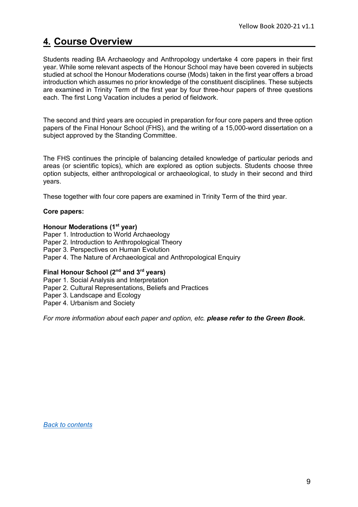# **4. Course Overview**

Students reading BA Archaeology and Anthropology undertake 4 core papers in their first year. While some relevant aspects of the Honour School may have been covered in subjects studied at school the Honour Moderations course (Mods) taken in the first year offers a broad introduction which assumes no prior knowledge of the constituent disciplines. These subjects are examined in Trinity Term of the first year by four three-hour papers of three questions each. The first Long Vacation includes a period of fieldwork.

The second and third years are occupied in preparation for four core papers and three option papers of the Final Honour School (FHS), and the writing of a 15,000-word dissertation on a subject approved by the Standing Committee.

The FHS continues the principle of balancing detailed knowledge of particular periods and areas (or scientific topics), which are explored as option subjects. Students choose three option subjects, either anthropological or archaeological, to study in their second and third years.

These together with four core papers are examined in Trinity Term of the third year.

#### **Core papers:**

#### **Honour Moderations (1st year)**

Paper 1. Introduction to World Archaeology Paper 2. Introduction to Anthropological Theory Paper 3. Perspectives on Human Evolution Paper 4. The Nature of Archaeological and Anthropological Enquiry

#### **Final Honour School (2nd and 3rd years)**

Paper 1. Social Analysis and Interpretation Paper 2. Cultural Representations, Beliefs and Practices Paper 3. Landscape and Ecology Paper 4. Urbanism and Society

*For more information about each paper and option, etc. please refer to the Green Book***.**

<span id="page-8-0"></span>*[Back to contents](#page-3-0)*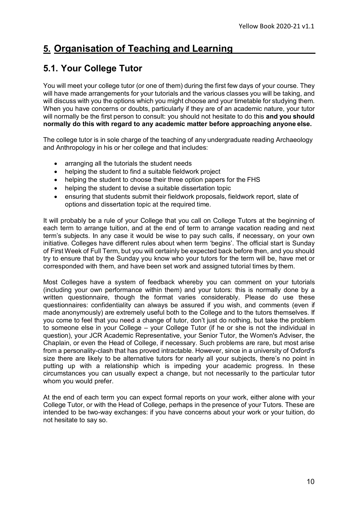# **5. Organisation of Teaching and Learning**

# <span id="page-9-0"></span>**5.1. Your College Tutor**

You will meet your college tutor (or one of them) during the first few days of your course. They will have made arrangements for your tutorials and the various classes you will be taking, and will discuss with you the options which you might choose and your timetable for studying them. When you have concerns or doubts, particularly if they are of an academic nature, your tutor will normally be the first person to consult: you should not hesitate to do this **and you should normally do this with regard to any academic matter before approaching anyone else.**

The college tutor is in sole charge of the teaching of any undergraduate reading Archaeology and Anthropology in his or her college and that includes:

- arranging all the tutorials the student needs
- helping the student to find a suitable fieldwork project
- helping the student to choose their three option papers for the FHS
- helping the student to devise a suitable dissertation topic
- ensuring that students submit their fieldwork proposals, fieldwork report, slate of options and dissertation topic at the required time.

It will probably be a rule of your College that you call on College Tutors at the beginning of each term to arrange tuition, and at the end of term to arrange vacation reading and next term's subjects. In any case it would be wise to pay such calls, if necessary, on your own initiative. Colleges have different rules about when term 'begins'. The official start is Sunday of First Week of Full Term, but you will certainly be expected back before then, and you should try to ensure that by the Sunday you know who your tutors for the term will be, have met or corresponded with them, and have been set work and assigned tutorial times by them.

Most Colleges have a system of feedback whereby you can comment on your tutorials (including your own performance within them) and your tutors: this is normally done by a written questionnaire, though the format varies considerably. Please do use these questionnaires: confidentiality can always be assured if you wish, and comments (even if made anonymously) are extremely useful both to the College and to the tutors themselves. If you come to feel that you need a change of tutor, don't just do nothing, but take the problem to someone else in your College – your College Tutor (if he or she is not the individual in question), your JCR Academic Representative, your Senior Tutor, the Women's Adviser, the Chaplain, or even the Head of College, if necessary. Such problems are rare, but most arise from a personality-clash that has proved intractable. However, since in a university of Oxford's size there are likely to be alternative tutors for nearly all your subjects, there's no point in putting up with a relationship which is impeding your academic progress. In these circumstances you can usually expect a change, but not necessarily to the particular tutor whom you would prefer.

At the end of each term you can expect formal reports on your work, either alone with your College Tutor, or with the Head of College, perhaps in the presence of your Tutors. These are intended to be two-way exchanges: if you have concerns about your work or your tuition, do not hesitate to say so.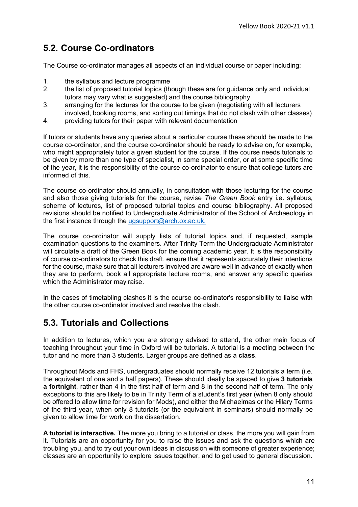# <span id="page-10-0"></span>**5.2. Course Co-ordinators**

The Course co-ordinator manages all aspects of an individual course or paper including:

- 1. the syllabus and lecture programme
- 2. the list of proposed tutorial topics (though these are for guidance only and individual tutors may vary what is suggested) and the course bibliography
- 3. arranging for the lectures for the course to be given (negotiating with all lecturers involved, booking rooms, and sorting out timings that do not clash with other classes)
- 4. providing tutors for their paper with relevant documentation

If tutors or students have any queries about a particular course these should be made to the course co-ordinator, and the course co-ordinator should be ready to advise on, for example, who might appropriately tutor a given student for the course. If the course needs tutorials to be given by more than one type of specialist, in some special order, or at some specific time of the year, it is the responsibility of the course co-ordinator to ensure that college tutors are informed of this.

The course co-ordinator should annually, in consultation with those lecturing for the course and also those giving tutorials for the course, revise *The Green Book* entry i.e. syllabus, scheme of lectures, list of proposed tutorial topics and course bibliography. All proposed revisions should be notified to Undergraduate Administrator of the School of Archaeology in the first instance through the [ugsupport@arch.ox.ac.uk.](mailto:ugsupport@arch.ox.ac.uk)

The course co-ordinator will supply lists of tutorial topics and, if requested, sample examination questions to the examiners. After Trinity Term the Undergraduate Administrator will circulate a draft of the Green Book for the coming academic year. It is the responsibility of course co-ordinators to check this draft, ensure that it represents accurately their intentions for the course, make sure that all lecturers involved are aware well in advance of exactly when they are to perform, book all appropriate lecture rooms, and answer any specific queries which the Administrator may raise.

In the cases of timetabling clashes it is the course co-ordinator's responsibility to liaise with the other course co-ordinator involved and resolve the clash.

# <span id="page-10-1"></span>**5.3. Tutorials and Collections**

In addition to lectures, which you are strongly advised to attend, the other main focus of teaching throughout your time in Oxford will be tutorials. A tutorial is a meeting between the tutor and no more than 3 students. Larger groups are defined as a **class**.

Throughout Mods and FHS, undergraduates should normally receive 12 tutorials a term (i.e. the equivalent of one and a half papers). These should ideally be spaced to give **3 tutorials a fortnight**, rather than 4 in the first half of term and 8 in the second half of term. The only exceptions to this are likely to be in Trinity Term of a student's first year (when 8 only should be offered to allow time for revision for Mods), and either the Michaelmas or the Hilary Terms of the third year, when only 8 tutorials (or the equivalent in seminars) should normally be given to allow time for work on the dissertation.

**A tutorial is interactive.** The more you bring to a tutorial or class, the more you will gain from it. Tutorials are an opportunity for you to raise the issues and ask the questions which are troubling you, and to try out your own ideas in discussion with someone of greater experience; classes are an opportunity to explore issues together, and to get used to general discussion.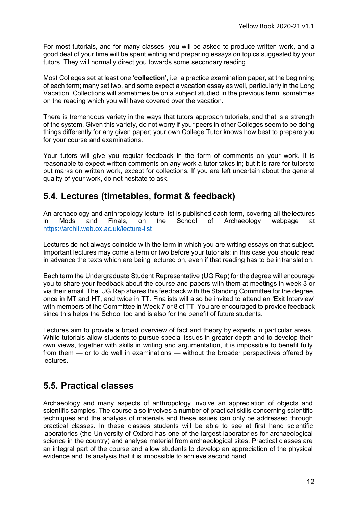For most tutorials, and for many classes, you will be asked to produce written work, and a good deal of your time will be spent writing and preparing essays on topics suggested by your tutors. They will normally direct you towards some secondary reading.

Most Colleges set at least one '**collection**', i.e. a practice examination paper, at the beginning of each term; many set two, and some expect a vacation essay as well, particularly in the Long Vacation. Collections will sometimes be on a subject studied in the previous term, sometimes on the reading which you will have covered over the vacation.

There is tremendous variety in the ways that tutors approach tutorials, and that is a strength of the system. Given this variety, do not worry if your peers in other Colleges seem to be doing things differently for any given paper; your own College Tutor knows how best to prepare you for your course and examinations.

Your tutors will give you regular feedback in the form of comments on your work. It is reasonable to expect written comments on any work a tutor takes in; but it is rare for tutorsto put marks on written work, except for collections. If you are left uncertain about the general quality of your work, do not hesitate to ask.

# <span id="page-11-0"></span>**5.4. Lectures (timetables, format & feedback)**

An archaeology and anthropology lecture list is published each term, covering all the lectures<br>
in Mods and Finals, on the School of Archaeology webpage at in Mods and Finals, on the School of Archaeology webpage at <https://archit.web.ox.ac.uk/lecture-list>

Lectures do not always coincide with the term in which you are writing essays on that subject. Important lectures may come a term or two before your tutorials; in this case you should read in advance the texts which are being lectured on, even if that reading has to be intranslation.

Each term the Undergraduate Student Representative (UG Rep) for the degree will encourage you to share your feedback about the course and papers with them at meetings in week 3 or via their email. The UG Rep shares this feedback with the Standing Committee for the degree, once in MT and HT, and twice in TT. Finalists will also be invited to attend an 'Exit Interview' with members of the Committee in Week 7 or 8 of TT. You are encouraged to provide feedback since this helps the School too and is also for the benefit of future students.

Lectures aim to provide a broad overview of fact and theory by experts in particular areas. While tutorials allow students to pursue special issues in greater depth and to develop their own views, together with skills in writing and argumentation, it is impossible to benefit fully from them — or to do well in examinations — without the broader perspectives offered by lectures.

### <span id="page-11-1"></span>**5.5. Practical classes**

Archaeology and many aspects of anthropology involve an appreciation of objects and scientific samples. The course also involves a number of practical skills concerning scientific techniques and the analysis of materials and these issues can only be addressed through practical classes. In these classes students will be able to see at first hand scientific laboratories (the University of Oxford has one of the largest laboratories for archaeological science in the country) and analyse material from archaeological sites. Practical classes are an integral part of the course and allow students to develop an appreciation of the physical evidence and its analysis that it is impossible to achieve second hand.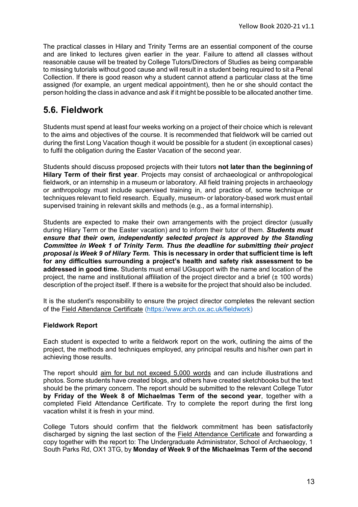The practical classes in Hilary and Trinity Terms are an essential component of the course and are linked to lectures given earlier in the year. Failure to attend all classes without reasonable cause will be treated by College Tutors/Directors of Studies as being comparable to missing tutorials without good cause and will result in a student being required to sit a Penal Collection. If there is good reason why a student cannot attend a particular class at the time assigned (for example, an urgent medical appointment), then he or she should contact the person holding the class in advance and ask if it might be possible to be allocated another time.

### <span id="page-12-0"></span>**5.6. Fieldwork**

Students must spend at least four weeks working on a project of their choice which is relevant to the aims and objectives of the course. It is recommended that fieldwork will be carried out during the first Long Vacation though it would be possible for a student (in exceptional cases) to fulfil the obligation during the Easter Vacation of the second year.

Students should discuss proposed projects with their tutors **not later than the beginningof Hilary Term of their first year**. Projects may consist of archaeological or anthropological fieldwork, or an internship in a museum or laboratory. All field training projects in archaeology or anthropology must include supervised training in, and practice of, some technique or techniques relevant to field research. Equally, museum- or laboratory-based work must entail supervised training in relevant skills and methods (e.g., as a formal internship).

Students are expected to make their own arrangements with the project director (usually during Hilary Term or the Easter vacation) and to inform their tutor of them. *Students must ensure that their own, independently selected project is approved by the Standing Committee in Week 1 of Trinity Term***.** *Thus the deadline for submitting their project proposal is Week 9 of Hilary Term.* **This is necessary in order that sufficient time is left for any difficulties surrounding a project's health and safety risk assessment to be addressed in good time.** Students must email UGsupport with the name and location of the project, the name and institutional affiliation of the project director and a brief (± 100 words) description of the project itself. If there is a website for the project that should also be included.

It is the student's responsibility to ensure the project director completes the relevant section of the Field Attendance Certificate [\(https://www.arch.ox.ac.uk/fieldwork\)](https://www.arch.ox.ac.uk/fieldwork)

#### **Fieldwork Report**

Each student is expected to write a fieldwork report on the work, outlining the aims of the project, the methods and techniques employed, any principal results and his/her own part in achieving those results.

The report should aim for but not exceed 5,000 words and can include illustrations and photos. Some students have created blogs, and others have created sketchbooks but the text should be the primary concern. The report should be submitted to the relevant College Tutor **by Friday of the Week 8 of Michaelmas Term of the second year**, together with a completed Field Attendance Certificate. Try to complete the report during the first long vacation whilst it is fresh in your mind.

College Tutors should confirm that the fieldwork commitment has been satisfactorily discharged by signing the last section of the [Field Attendance Certificate](http://www.arch.ox.ac.uk/fieldwork-forms.html) and forwarding a copy together with the report to: The Undergraduate Administrator, School of Archaeology, 1 South Parks Rd, OX1 3TG, by **Monday of Week 9 of the Michaelmas Term of the second**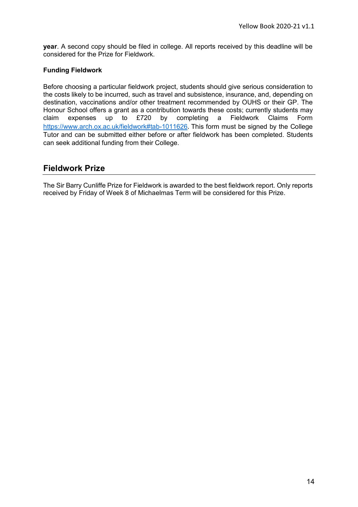**year**. A second copy should be filed in college. All reports received by this deadline will be considered for the Prize for Fieldwork.

#### **Funding Fieldwork**

Before choosing a particular fieldwork project, students should give serious consideration to the costs likely to be incurred, such as travel and subsistence, insurance, and, depending on destination, vaccinations and/or other treatment recommended by OUHS or their GP. The Honour School offers a grant as a contribution towards these costs; currently students may claim expenses up to £720 by completing a Fieldwork Claims Form <https://www.arch.ox.ac.uk/fieldwork#tab-1011626>. This form must be signed by the College Tutor and can be submitted either before or after fieldwork has been completed. Students can seek additional funding from their College.

### **Fieldwork Prize**

The Sir Barry Cunliffe Prize for Fieldwork is awarded to the best fieldwork report. Only reports received by Friday of Week 8 of Michaelmas Term will be considered for this Prize.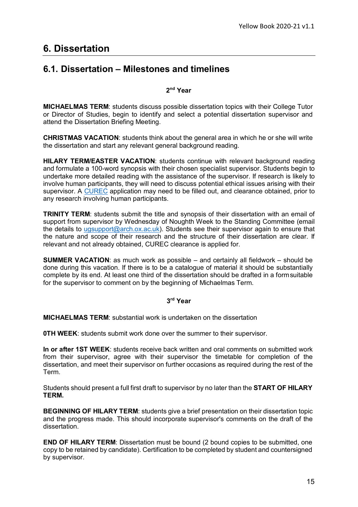# <span id="page-14-0"></span>**6. Dissertation**

### <span id="page-14-1"></span>**6.1. Dissertation – Milestones and timelines**

#### **2nd Year**

**MICHAELMAS TERM**: students discuss possible dissertation topics with their College Tutor or Director of Studies, begin to identify and select a potential dissertation supervisor and attend the Dissertation Briefing Meeting.

**CHRISTMAS VACATION**: students think about the general area in which he or she will write the dissertation and start any relevant general background reading.

**HILARY TERM/EASTER VACATION**: students continue with relevant background reading and formulate a 100-word synopsis with their chosen specialist supervisor. Students begin to undertake more detailed reading with the assistance of the supervisor. If research is likely to involve human participants, they will need to discuss potential ethical issues arising with their supervisor. A [CUREC](https://www.anthro.ox.ac.uk/safety-fieldwork-and-ethics) application may need to be filled out, and clearance obtained, prior to any research involving human participants.

**TRINITY TERM**: students submit the title and synopsis of their dissertation with an email of support from supervisor by Wednesday of Noughth Week to the Standing Committee (email the details to [ugsupport@arch.ox.ac.uk\)](mailto:ugsupport@arch.ox.ac.uk). Students see their supervisor again to ensure that the nature and scope of their research and the structure of their dissertation are clear. If relevant and not already obtained, CUREC clearance is applied for.

**SUMMER VACATION**: as much work as possible – and certainly all fieldwork – should be done during this vacation. If there is to be a catalogue of material it should be substantially complete by its end. At least one third of the dissertation should be drafted in a formsuitable for the supervisor to comment on by the beginning of Michaelmas Term.

#### **3rd Year**

**MICHAELMAS TERM**: substantial work is undertaken on the dissertation

**OTH WEEK:** students submit work done over the summer to their supervisor.

**In or after 1ST WEEK**: students receive back written and oral comments on submitted work from their supervisor, agree with their supervisor the timetable for completion of the dissertation, and meet their supervisor on further occasions as required during the rest of the Term.

Students should present a full first draft to supervisor by no later than the **START OF HILARY TERM.**

**BEGINNING OF HILARY TERM**: students give a brief presentation on their dissertation topic and the progress made. This should incorporate supervisor's comments on the draft of the dissertation.

**END OF HILARY TERM:** Dissertation must be bound (2 bound copies to be submitted, one copy to be retained by candidate). Certification to be completed by student and countersigned by supervisor.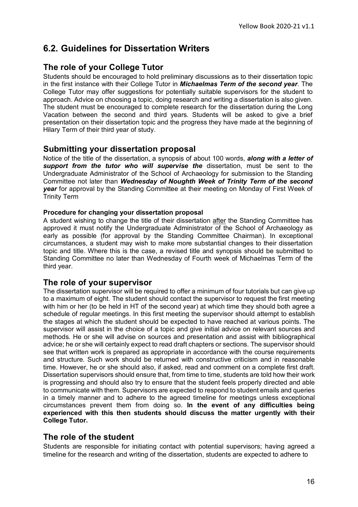# <span id="page-15-0"></span>**6.2. Guidelines for Dissertation Writers**

### **The role of your College Tutor**

Students should be encouraged to hold preliminary discussions as to their dissertation topic in the first instance with their College Tutor in *Michaelmas Term of the second year*. The College Tutor may offer suggestions for potentially suitable supervisors for the student to approach. Advice on choosing a topic, doing research and writing a dissertation is also given. The student must be encouraged to complete research for the dissertation during the Long Vacation between the second and third years. Students will be asked to give a brief presentation on their dissertation topic and the progress they have made at the beginning of Hilary Term of their third year of study.

### **Submitting your dissertation proposal**

Notice of the title of the dissertation, a synopsis of about 100 words, *along with a letter of support from the tutor who will supervise the* dissertation, must be sent to the Undergraduate Administrator of the School of Archaeology for submission to the Standing Committee not later than *Wednesday of Noughth Week of Trinity Term of the second year* for approval by the Standing Committee at their meeting on Monday of First Week of Trinity Term

#### **Procedure for changing your dissertation proposal**

A student wishing to change the title of their dissertation after the Standing Committee has approved it must notify the Undergraduate Administrator of the School of Archaeology as early as possible (for approval by the Standing Committee Chairman). In exceptional circumstances, a student may wish to make more substantial changes to their dissertation topic and title. Where this is the case, a revised title and synopsis should be submitted to Standing Committee no later than Wednesday of Fourth week of Michaelmas Term of the third year.

### **The role of your supervisor**

The dissertation supervisor will be required to offer a minimum of four tutorials but can give up to a maximum of eight. The student should contact the supervisor to request the first meeting with him or her (to be held in HT of the second year) at which time they should both agree a schedule of regular meetings. In this first meeting the supervisor should attempt to establish the stages at which the student should be expected to have reached at various points. The supervisor will assist in the choice of a topic and give initial advice on relevant sources and methods. He or she will advise on sources and presentation and assist with bibliographical advice; he or she will certainly expect to read draft chapters or sections. The supervisor should see that written work is prepared as appropriate in accordance with the course requirements and structure. Such work should be returned with constructive criticism and in reasonable time. However, he or she should also, if asked, read and comment on a complete first draft. Dissertation supervisors should ensure that, from time to time, students are told how their work is progressing and should also try to ensure that the student feels properly directed and able to communicate with them. Supervisors are expected to respond to student emails and queries in a timely manner and to adhere to the agreed timeline for meetings unless exceptional circumstances prevent them from doing so. **In the event of any difficulties being experienced with this then students should discuss the matter urgently with their College Tutor.**

### **The role of the student**

Students are responsible for initiating contact with potential supervisors; having agreed a timeline for the research and writing of the dissertation, students are expected to adhere to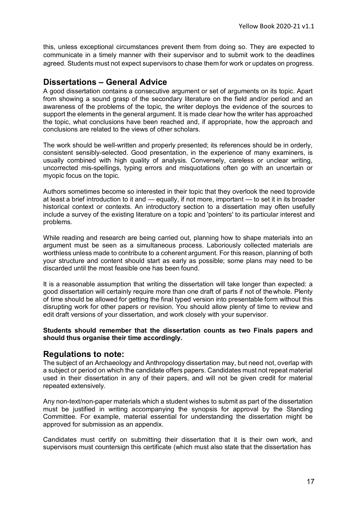this, unless exceptional circumstances prevent them from doing so. They are expected to communicate in a timely manner with their supervisor and to submit work to the deadlines agreed. Students must not expect supervisors to chase them for work or updates on progress.

### **Dissertations – General Advice**

A good dissertation contains a consecutive argument or set of arguments on its topic. Apart from showing a sound grasp of the secondary literature on the field and/or period and an awareness of the problems of the topic, the writer deploys the evidence of the sources to support the elements in the general argument. It is made clear how the writer has approached the topic, what conclusions have been reached and, if appropriate, how the approach and conclusions are related to the views of other scholars.

The work should be well-written and properly presented; its references should be in orderly, consistent sensibly-selected. Good presentation, in the experience of many examiners, is usually combined with high quality of analysis. Conversely, careless or unclear writing, uncorrected mis-spellings, typing errors and misquotations often go with an uncertain or myopic focus on the topic.

Authors sometimes become so interested in their topic that they overlook the need toprovide at least a brief introduction to it and — equally, if not more, important — to set it in its broader historical context or contexts. An introductory section to a dissertation may often usefully include a survey of the existing literature on a topic and 'pointers' to its particular interest and problems.

While reading and research are being carried out, planning how to shape materials into an argument must be seen as a simultaneous process. Laboriously collected materials are worthless unless made to contribute to a coherent argument. For this reason, planning of both your structure and content should start as early as possible; some plans may need to be discarded until the most feasible one has been found.

It is a reasonable assumption that writing the dissertation will take longer than expected: a good dissertation will certainly require more than one draft of parts if not of thewhole. Plenty of time should be allowed for getting the final typed version into presentable form without this disrupting work for other papers or revision. You should allow plenty of time to review and edit draft versions of your dissertation, and work closely with your supervisor.

#### **Students should remember that the dissertation counts as two Finals papers and should thus organise their time accordingly.**

#### **Regulations to note:**

The subject of an Archaeology and Anthropology dissertation may, but need not, overlap with a subject or period on which the candidate offers papers. Candidates must not repeat material used in their dissertation in any of their papers, and will not be given credit for material repeated extensively.

Any non-text/non-paper materials which a student wishes to submit as part of the dissertation must be justified in writing accompanying the synopsis for approval by the Standing Committee. For example, material essential for understanding the dissertation might be approved for submission as an appendix.

Candidates must certify on submitting their dissertation that it is their own work, and supervisors must countersign this certificate (which must also state that the dissertation has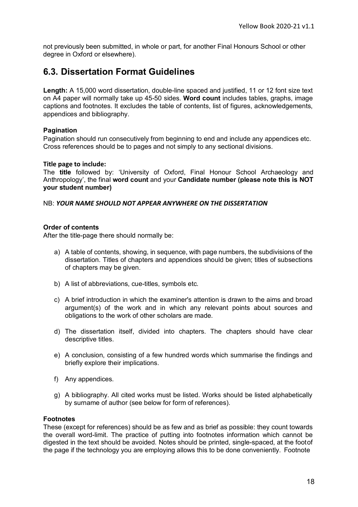not previously been submitted, in whole or part, for another Final Honours School or other degree in Oxford or elsewhere).

# <span id="page-17-0"></span>**6.3. Dissertation Format Guidelines**

**Length:** A 15,000 word dissertation, double-line spaced and justified, 11 or 12 font size text on A4 paper will normally take up 45-50 sides. **Word count** includes tables, graphs, image captions and footnotes. It excludes the table of contents, list of figures, acknowledgements, appendices and bibliography.

#### **Pagination**

Pagination should run consecutively from beginning to end and include any appendices etc. Cross references should be to pages and not simply to any sectional divisions.

#### **Title page to include:**

The **title** followed by: 'University of Oxford, Final Honour School Archaeology and Anthropology', the final **word count** and your **Candidate number (please note this is NOT your student number)**

NB: *YOUR NAME SHOULD NOT APPEAR ANYWHERE ON THE DISSERTATION*

#### **Order of contents**

After the title-page there should normally be:

- a) A table of contents, showing, in sequence, with page numbers, the subdivisions of the dissertation. Titles of chapters and appendices should be given; titles of subsections of chapters may be given.
- b) A list of abbreviations, cue-titles, symbols etc.
- c) A brief introduction in which the examiner's attention is drawn to the aims and broad argument(s) of the work and in which any relevant points about sources and obligations to the work of other scholars are made.
- d) The dissertation itself, divided into chapters. The chapters should have clear descriptive titles.
- e) A conclusion, consisting of a few hundred words which summarise the findings and briefly explore their implications.
- f) Any appendices.
- g) A bibliography. All cited works must be listed. Works should be listed alphabetically by surname of author (see below for form of references).

#### **Footnotes**

These (except for references) should be as few and as brief as possible: they count towards the overall word-limit. The practice of putting into footnotes information which cannot be digested in the text should be avoided. Notes should be printed, single-spaced, at the footof the page if the technology you are employing allows this to be done conveniently. Footnote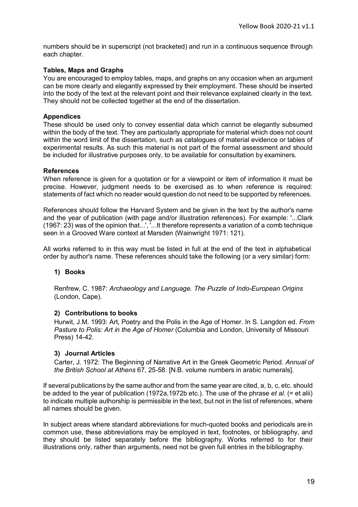numbers should be in superscript (not bracketed) and run in a continuous sequence through each chapter.

#### **Tables, Maps and Graphs**

You are encouraged to employ tables, maps, and graphs on any occasion when an argument can be more clearly and elegantly expressed by their employment. These should be inserted into the body of the text at the relevant point and their relevance explained clearly in the text. They should not be collected together at the end of the dissertation.

#### **Appendices**

These should be used only to convey essential data which cannot be elegantly subsumed within the body of the text. They are particularly appropriate for material which does not count within the word limit of the dissertation, such as catalogues of material evidence or tables of experimental results. As such this material is not part of the formal assessment and should be included for illustrative purposes only, to be available for consultation by examiners.

#### **References**

When reference is given for a quotation or for a viewpoint or item of information it must be precise. However, judgment needs to be exercised as to when reference is required: statements of fact which no reader would question do not need to be supported by references.

References should follow the Harvard System and be given in the text by the author's name and the year of publication (with page and/or illustration references). For example: '...Clark (1967: 23) was of the opinion that...', '...It therefore represents a variation of a comb technique seen in a Grooved Ware context at Marsden (Wainwright 1971: 121).

All works referred to in this way must be listed in full at the end of the text in alphabetical order by author's name. These references should take the following (or a very similar) form:

#### **1) Books**

Renfrew, C. 1987: *Archaeology and Language. The Puzzle of Indo-European Origins* (London, Cape).

#### **2) Contributions to books**

Hurwit, J.M. 1993: Art, Poetry and the Polis in the Age of Homer. In S. Langdon ed. *From Pasture to Polis: Art in the Age of Homer* (Columbia and London, University of Missouri Press) 14-42.

#### **3) Journal Articles**

Carter, J. 1972: The Beginning of Narrative Art in the Greek Geometric Period. *Annual of the British School at Athens* 67, 25-58. [N.B. volume numbers in arabic numerals].

If several publications by the same author and from the same year are cited, a, b, c, etc. should be added to the year of publication (1972a,1972b etc.). The use of the phrase *et al.* (= et alii) to indicate multiple authorship is permissible in the text, but not in the list of references, where all names should be given.

In subject areas where standard abbreviations for much-quoted books and periodicals are in common use, these abbreviations may be employed in text, footnotes, or bibliography, and they should be listed separately before the bibliography. Works referred to for their illustrations only, rather than arguments, need not be given full entries in the bibliography.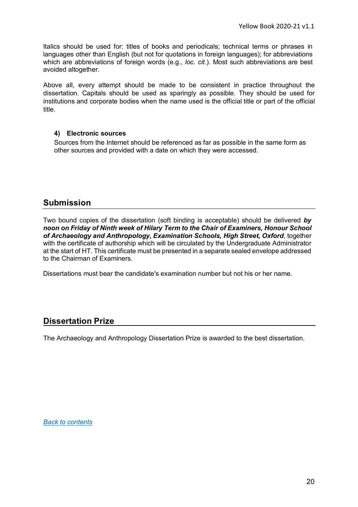<span id="page-19-0"></span>Italics should be used for: titles of books and periodicals; technical terms or phrases in languages other than English (but not for quotations in foreign languages); for abbreviations which are abbreviations of foreign words (e.g., *loc. cit*.). Most such abbreviations are best avoided altogether.

Above all, every attempt should be made to be consistent in practice throughout the dissertation. Capitals should be used as sparingly as possible. They should be used for institutions and corporate bodies when the name used is the official title or part of the official title.

#### **4) Electronic sources**

Sources from the Internet should be referenced as far as possible in the same form as other sources and provided with a date on which they were accessed.

#### **Submission**

Two bound copies of the dissertation (soft binding is acceptable) should be delivered *by noon on Friday of Ninth week of Hilary Term to the Chair of Examiners, Honour School of Archaeology and Anthropology, Examination Schools, High Street, Oxford*, together with the certificate of authorship which will be circulated by the Undergraduate Administrator at the start of HT. This certificate must be presented in a separate sealed envelope addressed to the Chairman of Examiners.

Dissertations must bear the candidate's examination number but not his or her name.

#### **Dissertation Prize**

The Archaeology and Anthropology Dissertation Prize is awarded to the best dissertation.

*[Back to contents](#page-3-0)*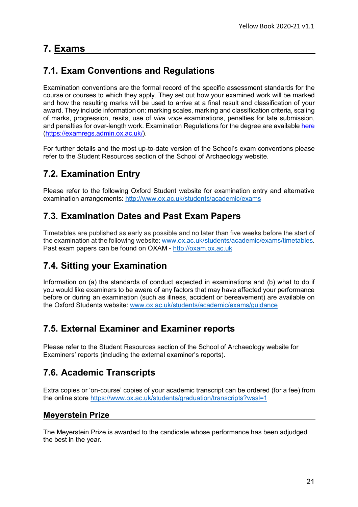# **7. Exams**

# <span id="page-20-0"></span>**7.1. Exam Conventions and Regulations**

Examination conventions are the formal record of the specific assessment standards for the course or courses to which they apply. They set out how your examined work will be marked and how the resulting marks will be used to arrive at a final result and classification of your award. They include information on: marking scales, marking and classification criteria, scaling of marks, progression, resits, use of *viva voce* examinations, penalties for late submission, and penalties for over-length work. Examination Regulations for the degree are available [here](https://examregs.admin.ox.ac.uk/) [\(https://examregs.admin.ox.ac.uk/\)](https://examregs.admin.ox.ac.uk/).

For further details and the most up-to-date version of the School's exam conventions please refer to the Student Resources section of the School of Archaeology website.

# <span id="page-20-1"></span>**7.2. Examination Entry**

Please refer to the following Oxford Student website for examination entry and alternative examination arrangements:<http://www.ox.ac.uk/students/academic/exams>

# <span id="page-20-2"></span>**7.3. Examination Dates and Past Exam Papers**

Timetables are published as early as possible and no later than five weeks before the start of the examination at the following website: [www.ox.ac.uk/students/academic/exams/timetables.](http://www.ox.ac.uk/students/academic/exams/timetables) Past exam papers can be found on OXAM - [http://oxam.ox.ac.uk](http://oxam.ox.ac.uk/)

# <span id="page-20-3"></span>**7.4. Sitting your Examination**

Information on (a) the standards of conduct expected in examinations and (b) what to do if you would like examiners to be aware of any factors that may have affected your performance before or during an examination (such as illness, accident or bereavement) are available on the Oxford Students website: [www.ox.ac.uk/students/academic/exams/guidance](http://www.ox.ac.uk/students/academic/exams/guidance)

# <span id="page-20-4"></span>**7.5. External Examiner and Examiner reports**

Please refer to the Student Resources section of the School of Archaeology website for Examiners' reports (including the external examiner's reports).

# **7.6. Academic Transcripts**

Extra copies or 'on-course' copies of your academic transcript can be ordered (for a fee) from the online store<https://www.ox.ac.uk/students/graduation/transcripts?wssl=1>

### **Meyerstein Prize**

The Meyerstein Prize is awarded to the candidate whose performance has been adjudged the best in the year.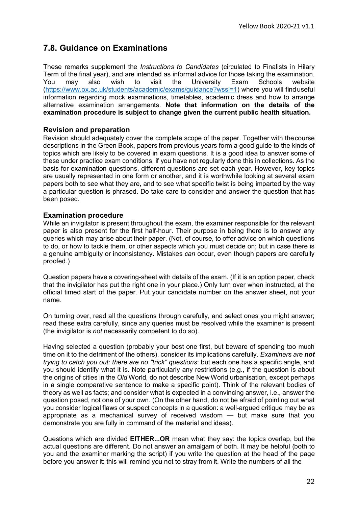### <span id="page-21-0"></span>**7.8. Guidance on Examinations**

These remarks supplement the *Instructions to Candidates* (circulated to Finalists in Hilary Term of the final year), and are intended as informal advice for those taking the examination.<br>You may also wish to visit the University Exam Schools website You may also wish to visit the University Exam Schools website [\(https://www.ox.ac.uk/students/academic/exams/guidance?wssl=1\)](https://www.ox.ac.uk/students/academic/exams/guidance?wssl=1) where you will finduseful information regarding mock examinations, timetables, academic dress and how to arrange alternative examination arrangements. **Note that information on the details of the examination procedure is subject to change given the current public health situation.**

#### **Revision and preparation**

Revision should adequately cover the complete scope of the paper. Together with thecourse descriptions in the Green Book, papers from previous years form a good guide to the kinds of topics which are likely to be covered in exam questions. It is a good idea to answer some of these under practice exam conditions, if you have not regularly done this in collections. As the basis for examination questions, different questions are set each year. However, key topics are usually represented in one form or another, and it is worthwhile looking at several exam papers both to see what they are, and to see what specific twist is being imparted by the way a particular question is phrased. Do take care to consider and answer the question that has been posed.

#### **Examination procedure**

While an invigilator is present throughout the exam, the examiner responsible for the relevant paper is also present for the first half-hour. Their purpose in being there is to answer any queries which may arise about their paper. (Not, of course, to offer advice on which questions to do, or how to tackle them, or other aspects which you must decide on; but in case there is a genuine ambiguity or inconsistency. Mistakes *can* occur, even though papers are carefully proofed.)

Question papers have a covering-sheet with details of the exam. (If it is an option paper, check that the invigilator has put the right one in your place.) Only turn over when instructed, at the official timed start of the paper. Put your candidate number on the answer sheet, not your name.

On turning over, read all the questions through carefully, and select ones you might answer; read these extra carefully, since any queries must be resolved while the examiner is present (the invigilator is *not* necessarily competent to do so).

Having selected a question (probably your best one first, but beware of spending too much time on it to the detriment of the others), consider its implications carefully. *Examiners are not trying to catch you out: there are no "trick" questions*: but each one has a specific angle, and you should identify what it is. Note particularly any restrictions (e.g., if the question is about the origins of cities in the *Old* World, do not describe New World urbanisation, except perhaps in a single comparative sentence to make a specific point). Think of the relevant bodies of theory as well as facts; and consider what is expected in a convincing answer, i.e., answer the question posed, not one of your own. (On the other hand, do not be afraid of pointing out what you consider logical flaws or suspect concepts in a question: a well-argued critique may be as appropriate as a mechanical survey of received wisdom — but make sure that you demonstrate you are fully in command of the material and ideas).

Questions which are divided **EITHER...OR** mean what they say: the topics overlap, but the actual questions are different. Do not answer an amalgam of both. It may be helpful (both to you and the examiner marking the script) if you write the question at the head of the page before you answer it: this will remind you not to stray from it. Write the numbers of all the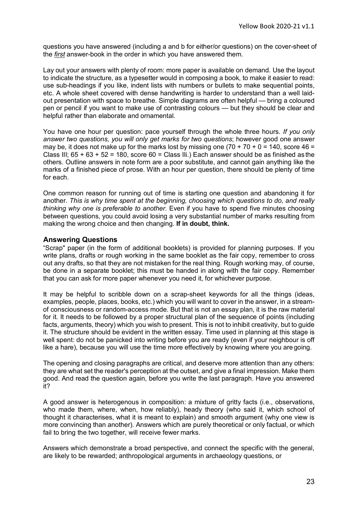questions you have answered (including a and b for either/or questions) on the cover-sheet of the *first* answer-book in the order in which you have answered them.

Lay out your answers with plenty of room: more paper is available on demand. Use the layout to indicate the structure, as a typesetter would in composing a book, to make it easier to read: use sub-headings if you like, indent lists with numbers or bullets to make sequential points, etc. A whole sheet covered with dense handwriting is harder to understand than a well laidout presentation with space to breathe. Simple diagrams are often helpful — bring a coloured pen or pencil if you want to make use of contrasting colours — but they should be clear and helpful rather than elaborate and ornamental.

You have one hour per question: pace yourself through the whole three hours. *If you only answer two questions, you will only get marks for two questions*; however good one answer may be, it does not make up for the marks lost by missing one  $(70 + 70 + 0 = 140)$ , score 46 = Class III;  $65 + 63 + 52 = 180$ , score  $60 =$  Class III.) Each answer should be as finished as the others. Outline answers in note form are a poor substitute, and cannot gain anything like the marks of a finished piece of prose. With an hour per question, there should be plenty of time for each.

One common reason for running out of time is starting one question and abandoning it for another. *This is why time spent at the beginning, choosing which questions to do, and really thinking why one is preferable to another.* Even if you have to spend five minutes choosing between questions, you could avoid losing a very substantial number of marks resulting from making the wrong choice and then changing. **If in doubt, think.**

#### **Answering Questions**

"Scrap" paper (in the form of additional booklets) is provided for planning purposes. If you write plans, drafts or rough working in the same booklet as the fair copy, remember to cross out any drafts, so that they are not mistaken for the real thing. Rough working may, of course, be done in a separate booklet; this must be handed in along with the fair copy. Remember that you can ask for more paper whenever you need it, for whichever purpose.

It may be helpful to scribble down on a scrap-sheet keywords for all the things (ideas, examples, people, places, books, etc.) which you will want to cover in the answer, in a streamof consciousness or random-access mode. But that is not an essay plan, it is the raw material for it. It needs to be followed by a proper structural plan of the sequence of points (including facts, arguments, theory) which you wish to present. This is not to inhibit creativity, but to guide it. The structure should be evident in the written essay. Time used in planning at this stage is well spent: do not be panicked into writing before you are ready (even if your neighbour is off like a hare), because you will use the time more effectively by knowing where you are going.

The opening and closing paragraphs are critical, and deserve more attention than any others: they are what set the reader's perception at the outset, and give a final impression. Make them good. And read the question again, before you write the last paragraph. Have you answered it?

A good answer is heterogenous in composition: a mixture of gritty facts (i.e., observations, who made them, where, when, how reliably), heady theory (who said it, which school of thought it characterises, what it is meant to explain) and smooth argument (why one view is more convincing than another). Answers which are purely theoretical or only factual, or which fail to bring the two together, will receive fewer marks.

Answers which demonstrate a broad perspective, and connect the specific with the general, are likely to be rewarded; anthropological arguments in archaeology questions, or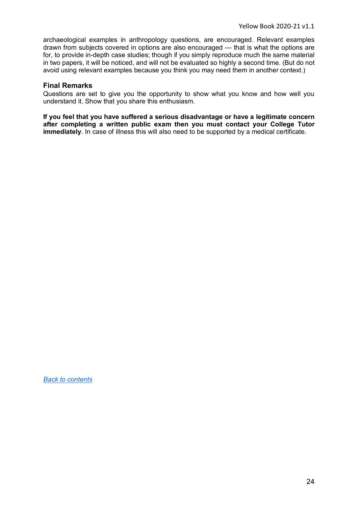archaeological examples in anthropology questions, are encouraged. Relevant examples drawn from subjects covered in options are also encouraged — that is what the options are for, to provide in-depth case studies; though if you simply reproduce much the same material in two papers, it will be noticed, and will not be evaluated so highly a second time. (But do not avoid using relevant examples because you think you may need them in another context.)

#### **Final Remarks**

Questions are set to give you the opportunity to show what you know and how well you understand it. Show that you share this enthusiasm.

**If you feel that you have suffered a serious disadvantage or have a legitimate concern after completing a written public exam then you must contact your College Tutor immediately**. In case of illness this will also need to be supported by a medical certificate.

*[Back to contents](#page-3-0)*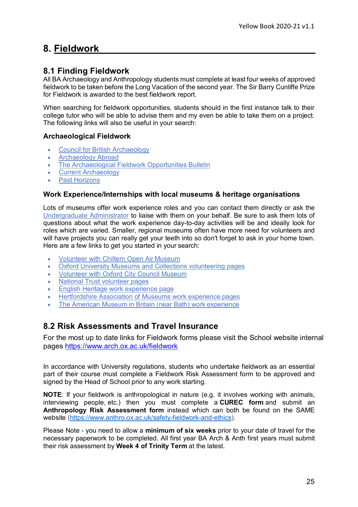# <span id="page-24-0"></span>**8. Fieldwork**

### <span id="page-24-1"></span>**8.1 Finding Fieldwork**

All BA Archaeology and Anthropology students must complete at least four weeks of approved fieldwork to be taken before the Long Vacation of the second year. The Sir Barry Cunliffe [Prize](http://www.arch.ox.ac.uk/current-undergraduates-prizes.html)  [for Fieldwork i](http://www.arch.ox.ac.uk/current-undergraduates-prizes.html)s awarded to the best fieldwork report.

When searching for fieldwork opportunities, students should in the first instance talk to their college tutor who will be able to advise them and my even be able to take them on a project. The following links will also be useful in your search:

#### **Archaeological Fieldwork**

- [Council for British Archaeology](http://new.archaeologyuk.org/fieldwork-and-conferences/)
- [Archaeology](http://www.projects-abroad.co.uk/volunteer-projects/archaeology/) Abroad
- [The Archaeological Fieldwork Opportunities](https://www.archaeological.org/fieldwork/afob) Bulletin
- Current [Archaeology](http://www.archaeology.co.uk/)
- **Past Horizons**

#### **Work Experience/Internships with local museums & heritage organisations**

Lots of museums offer work experience roles and you can contact them directly or ask the [Undergraduate Administrator](mailto:ugsupport@arch.ox.ac.uk) to liaise with them on your behalf. Be sure to ask them lots of questions about what the work experience day-to-day activities will be and ideally look for roles which are varied. Smaller, regional museums often have more need for volunteers and will have projects you can really get your teeth into so don't forget to ask in your home town. Here are a few links to get you started in your search:

- [Volunteer with Chiltern Open Air](https://www.coam.org.uk/get-involved/volunteering/) Museum
- [Oxford University Museums and Collections volunteering](http://www.museums.ox.ac.uk/volunteers) pages
- [Volunteer with Oxford City Council](https://www.oxford.gov.uk/info/20204/about_us/793/volunteer_with_us) Museum
- [National Trust](https://www.nationaltrust.org.uk/ways-to-volunteer) volunteer pages
- [English Heritage work experience](http://www.english-heritage.org.uk/support-us/volunteer/about-volunteering/) page
- [Hertfordshire Association of Museums work experience](http://www.hertfordshiremuseums.org.uk/museum-services.php?id=9) pages
- [The American Museum in Britain \(near Bath\) work](https://americanmuseum.org/about-the-museum/get-involved/work-experience/) experience

### <span id="page-24-2"></span>**8.2 Risk Assessments and Travel Insurance**

For the most up to date links for Fieldwork forms please visit the School website internal pages<https://www.arch.ox.ac.uk/fieldwork>

In accordance with University regulations, students who undertake fieldwork as an essential part of their course must complete a Fieldwork Risk Assessment form to be approved and signed by the Head of School prior to any work starting.

**NOTE**: If your fieldwork is anthropological in nature (e.g. it involves working with animals, interviewing people, etc.) then you must complete a **CUREC form** and submit an **Anthropology Risk Assessment form** instead which can both be found on the SAME website [\(https://www.anthro.ox.ac.uk/safety-fieldwork-and-ethics\)](https://www.anthro.ox.ac.uk/safety-fieldwork-and-ethics).

Please Note - you need to allow a **minimum of six weeks** prior to your date of travel for the necessary paperwork to be completed. All first year BA Arch & Anth first years must submit their risk assessment by **Week 4 of Trinity Term** at the latest.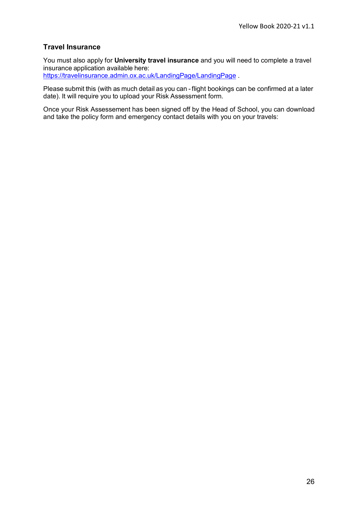#### **Travel Insurance**

You must also apply for **University travel insurance** and you will need to complete [a travel](https://travelinsurance.admin.ox.ac.uk/LandingPage/LandingPage) insurance application available here:

<https://travelinsurance.admin.ox.ac.uk/LandingPage/LandingPage> .

Please submit this (with as much detail as you can - flight bookings can be confirmed at a later date). It will require you to upload your Risk Assessment form.

Once your Risk Assessement has been signed off by the Head of School, you can download and take the policy form and emergency contact details with you on your travels: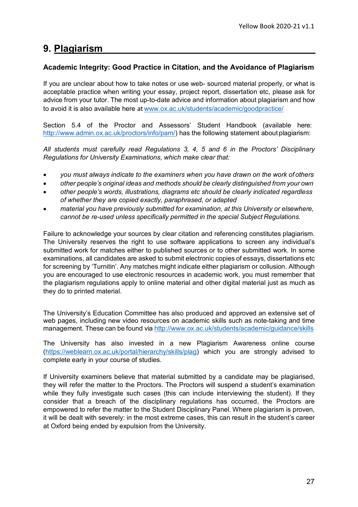# <span id="page-26-0"></span>**9. Plagiarism**

#### **Academic Integrity: Good Practice in Citation, and the Avoidance of Plagiarism**

If you are unclear about how to take notes or use web- sourced material properly, or what is acceptable practice when writing your essay, project report, dissertation etc, please ask for advice from your tutor. The most up-to-date advice and information about plagiarism and how to avoid it is also available here at [www.ox.ac.uk/students/academic/goodpractice/](http://www.ox.ac.uk/students/academic/goodpractice/)

Section 5.4 of the Proctor and Assessors' Student Handbook (available here: [http://www.admin.ox.ac.uk/proctors/info/pam/\)](http://www.admin.ox.ac.uk/proctors/info/pam/) has the following statement about plagiarism:

*All students must carefully read Regulations 3, 4, 5 and 6 in the Proctors' Disciplinary Regulations for University Examinations, which make clear that:*

- *you must always indicate to the examiners when you have drawn on the work of others*
- *other people's original ideas and methods should be clearly distinguished from your own*
- *other people's words, illustrations, diagrams etc should be clearly indicated regardless of whether they are copied exactly, paraphrased, or adapted*
- *material you have previously submitted for examination, at this University or elsewhere, cannot be re-used unless specifically permitted in the special Subject Regulations.*

Failure to acknowledge your sources by clear citation and referencing constitutes plagiarism. The University reserves the right to use software applications to screen any individual's submitted work for matches either to published sources or to other submitted work. In some examinations, all candidates are asked to submit electronic copies of essays, dissertations etc for screening by 'Turnitin'. Any matches might indicate either plagiarism or collusion. Although you are encouraged to use electronic resources in academic work, you must remember that the plagiarism regulations apply to online material and other digital material just as much as they do to printed material.

The University's Education Committee has also produced and approved an extensive set of web pages, including new video resources on academic skills such as note-taking and time management. These can be found via <http://www.ox.ac.uk/students/academic/guidance/skills>

The University has also invested in a new Plagiarism Awareness online course [\(https://weblearn.ox.ac.uk/portal/hierarchy/skills/plag\)](https://weblearn.ox.ac.uk/portal/hierarchy/skills/plag) which you are strongly advised to complete early in your course of studies.

If University examiners believe that material submitted by a candidate may be plagiarised, they will refer the matter to the Proctors. The Proctors will suspend a student's examination while they fully investigate such cases (this can include interviewing the student). If they consider that a breach of the disciplinary regulations has occurred, the Proctors are empowered to refer the matter to the Student Disciplinary Panel. Where plagiarism is proven, it will be dealt with severely: in the most extreme cases, this can result in the student's career at Oxford being ended by expulsion from the University.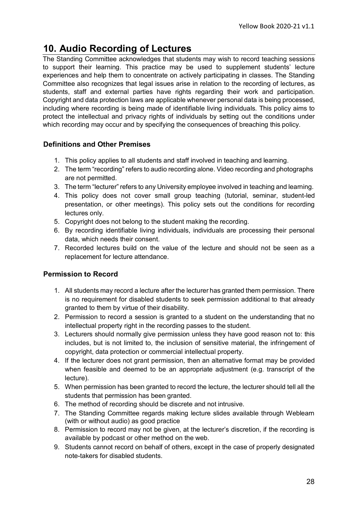# <span id="page-27-0"></span>**10. Audio Recording of Lectures**

The Standing Committee acknowledges that students may wish to record teaching sessions to support their learning. This practice may be used to supplement students' lecture experiences and help them to concentrate on actively participating in classes. The Standing Committee also recognizes that legal issues arise in relation to the recording of lectures, as students, staff and external parties have rights regarding their work and participation. Copyright and data protection laws are applicable whenever personal data is being processed, including where recording is being made of identifiable living individuals. This policy aims to protect the intellectual and privacy rights of individuals by setting out the conditions under which recording may occur and by specifying the consequences of breaching this policy.

#### **Definitions and Other Premises**

- 1. This policy applies to all students and staff involved in teaching and learning.
- 2. The term "recording" refers to audio recording alone. Video recording and photographs are not permitted.
- 3. The term "lecturer" refers to any University employee involved in teaching and learning.
- 4. This policy does not cover small group teaching (tutorial, seminar, student-led presentation, or other meetings). This policy sets out the conditions for recording lectures only.
- 5. Copyright does not belong to the student making the recording.
- 6. By recording identifiable living individuals, individuals are processing their personal data, which needs their consent.
- 7. Recorded lectures build on the value of the lecture and should not be seen as a replacement for lecture attendance.

#### **Permission to Record**

- 1. All students may record a lecture after the lecturer has granted them permission. There is no requirement for disabled students to seek permission additional to that already granted to them by virtue of their disability.
- 2. Permission to record a session is granted to a student on the understanding that no intellectual property right in the recording passes to the student.
- 3. Lecturers should normally give permission unless they have good reason not to: this includes, but is not limited to, the inclusion of sensitive material, the infringement of copyright, data protection or commercial intellectual property.
- 4. If the lecturer does not grant permission, then an alternative format may be provided when feasible and deemed to be an appropriate adjustment (e.g. transcript of the lecture).
- 5. When permission has been granted to record the lecture, the lecturer should tell all the students that permission has been granted.
- 6. The method of recording should be discrete and not intrusive.
- 7. The Standing Committee regards making lecture slides available through Weblearn (with or without audio) as good practice
- 8. Permission to record may not be given, at the lecturer's discretion, if the recording is available by podcast or other method on the web.
- 9. Students cannot record on behalf of others, except in the case of properly designated note-takers for disabled students.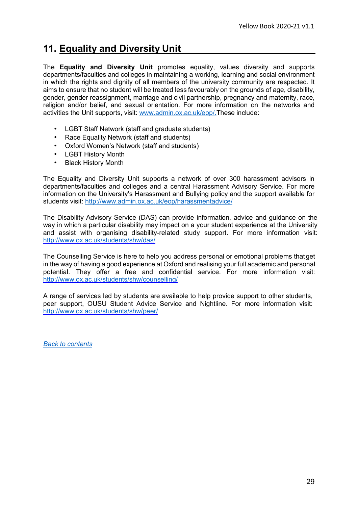# <span id="page-28-0"></span>**11. Equality and Diversity Unit**

The **Equality and Diversity Unit** promotes equality, values diversity and supports departments/faculties and colleges in maintaining a working, learning and social environment in which the rights and dignity of all members of the university community are respected. It aims to ensure that no student will be treated less favourably on the grounds of age, disability, gender, gender reassignment, marriage and civil partnership, pregnancy and maternity, race, religion and/or belief, and sexual orientation. For more information on the networks and activities the Unit supports, visit: [www.admin.ox.ac.uk/eop/.T](http://www.admin.ox.ac.uk/eop/)hese include:

- LGBT Staff Network (staff and graduate students)
- Race Equality Network (staff and students)
- Oxford Women's Network (staff and students)
- LGBT History Month
- Black History Month

The Equality and Diversity Unit supports a network of over 300 harassment advisors in departments/faculties and colleges and a central Harassment Advisory Service. For more information on the University's Harassment and Bullying policy and the support available for students visit:<http://www.admin.ox.ac.uk/eop/harassmentadvice/>

The Disability Advisory Service (DAS) can provide information, advice and guidance on the way in which a particular disability may impact on a your student experience at the University and assist with organising disability-related study support. For more information visit: <http://www.ox.ac.uk/students/shw/das/>

The Counselling Service is here to help you address personal or emotional problems thatget in the way of having a good experience at Oxford and realising your full academic and personal potential. They offer a free and confidential service. For more information visit: <http://www.ox.ac.uk/students/shw/counselling/>

A range of services led by students are available to help provide support to other students, peer support, OUSU Student Advice Service and Nightline. For more information visit: <http://www.ox.ac.uk/students/shw/peer/>

*[Back to contents](#page-3-0)*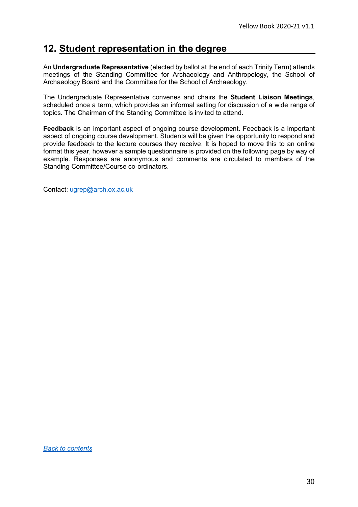# <span id="page-29-0"></span>**12. Student representation in the degree**

An **Undergraduate Representative** (elected by ballot at the end of each Trinity Term) attends meetings of the Standing Committee for Archaeology and Anthropology, the School of Archaeology Board and the Committee for the School of Archaeology.

The Undergraduate Representative convenes and chairs the **Student Liaison Meetings**, scheduled once a term, which provides an informal setting for discussion of a wide range of topics. The Chairman of the Standing Committee is invited to attend.

**Feedback** is an important aspect of ongoing course development. Feedback is a important aspect of ongoing course development. Students will be given the opportunity to respond and provide feedback to the lecture courses they receive. It is hoped to move this to an online format this year, however a sample questionnaire is provided on the following page by way of example. Responses are anonymous and comments are circulated to members of the Standing Committee/Course co-ordinators.

Contact: [ugrep@arch.ox.ac.uk](mailto:ugrep@arch.ox.ac.uk)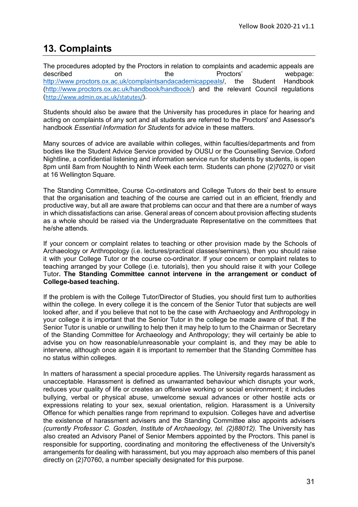# <span id="page-30-0"></span>**13. Complaints**

The procedures adopted by the Proctors in relation to complaints and academic appeals are<br>
described on the Proctors' proctors' webpage: described on the Proctors' webpage: [http://www.proctors.ox.ac.uk/complaintsandacademicappeals/](http://www.proctors.ox.ac.uk/complaintsandacademicappeals), the Student Handbook [\(http://www.proctors.ox.ac.uk/handbook/handbook/\)](http://www.proctors.ox.ac.uk/handbook/handbook/) and the relevant Council regulations (<http://www.admin.ox.ac.uk/statutes/>).

Students should also be aware that the University has procedures in place for hearing and acting on complaints of any sort and all students are referred to the Proctors' and Assessor's handbook *Essential Information for Students* for advice in these matters.

Many sources of advice are available within colleges, within faculties/departments and from bodies like the Student Advice Service provided by OUSU or the Counselling Service.Oxford Nightline, a confidential listening and information service run for students by students, is open 8pm until 8am from Noughth to Ninth Week each term. Students can phone (2)70270 or visit at 16 Wellington Square.

The Standing Committee, Course Co-ordinators and College Tutors do their best to ensure that the organisation and teaching of the course are carried out in an efficient, friendly and productive way, but all are aware that problems can occur and that there are a number of ways in which dissatisfactions can arise. General areas of concern about provision affecting students as a whole should be raised via the Undergraduate Representative on the committees that he/she attends.

If your concern or complaint relates to teaching or other provision made by the Schools of Archaeology or Anthropology (i.e. lectures/practical classes/seminars), then you should raise it with your College Tutor or the course co-ordinator. If your concern or complaint relates to teaching arranged by your College (i.e. tutorials), then you should raise it with your College Tutor**. The Standing Committee cannot intervene in the arrangement or conduct of College-based teaching.**

If the problem is with the College Tutor/Director of Studies, you should first turn to authorities within the college. In every college it is the concern of the Senior Tutor that subjects are well looked after, and if you believe that not to be the case with Archaeology and Anthropology in your college it is important that the Senior Tutor in the college be made aware of that. If the Senior Tutor is unable or unwilling to help then it may help to turn to the Chairman or Secretary of the Standing Committee for Archaeology and Anthropology; they will certainly be able to advise you on how reasonable/unreasonable your complaint is, and they may be able to intervene, although once again it is important to remember that the Standing Committee has no status within colleges.

In matters of harassment a special procedure applies. The University regards harassment as unacceptable. Harassment is defined as unwarranted behaviour which disrupts your work, reduces your quality of life or creates an offensive working or social environment; it includes bullying, verbal or physical abuse, unwelcome sexual advances or other hostile acts or expressions relating to your sex, sexual orientation, religion. Harassment is a University Offence for which penalties range from reprimand to expulsion. Colleges have and advertise the existence of harassment advisers and the Standing Committee also appoints advisers *(currently Professor C. Gosden, Institute of Archaeology, tel. (2)88012).* The University has also created an Advisory Panel of Senior Members appointed by the Proctors. This panel is responsible for supporting, coordinating and monitoring the effectiveness of the University's arrangements for dealing with harassment, but you may approach also members of this panel directly on (2)70760, a number specially designated for this purpose.